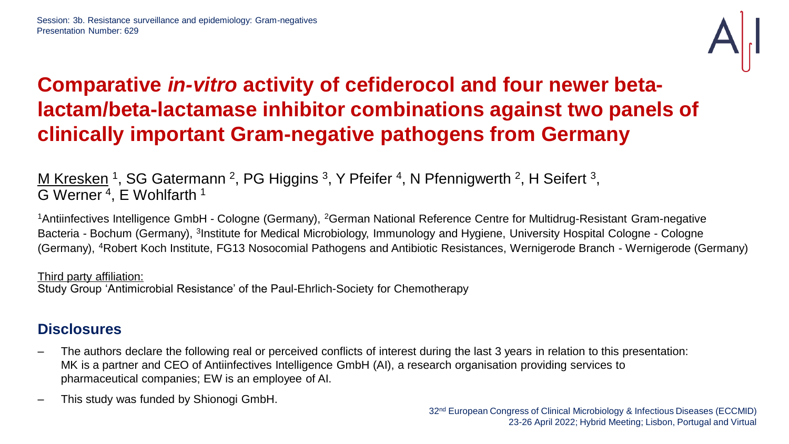

### **Comparative** *in-vitro* **activity of cefiderocol and four newer betalactam/beta-lactamase inhibitor combinations against two panels of clinically important Gram-negative pathogens from Germany**

M Kresken <sup>1</sup>, SG Gatermann <sup>2</sup>, PG Higgins <sup>3</sup>, Y Pfeifer <sup>4</sup>, N Pfennigwerth <sup>2</sup>, H Seifert <sup>3</sup>, G Werner<sup>4</sup>, E Wohlfarth<sup>1</sup>

<sup>1</sup>Antiinfectives Intelligence GmbH - Cologne (Germany), <sup>2</sup>German National Reference Centre for Multidrug-Resistant Gram-negative Bacteria - Bochum (Germany), <sup>3</sup>Institute for Medical Microbiology, Immunology and Hygiene, University Hospital Cologne - Cologne (Germany), <sup>4</sup>Robert Koch Institute, FG13 Nosocomial Pathogens and Antibiotic Resistances, Wernigerode Branch - Wernigerode (Germany)

Third party affiliation: Study Group 'Antimicrobial Resistance' of the Paul-Ehrlich-Society for Chemotherapy

#### **Disclosures**

- The authors declare the following real or perceived conflicts of interest during the last 3 years in relation to this presentation: MK is a partner and CEO of Antiinfectives Intelligence GmbH (AI), a research organisation providing services to pharmaceutical companies; EW is an employee of AI.
- This study was funded by Shionogi GmbH.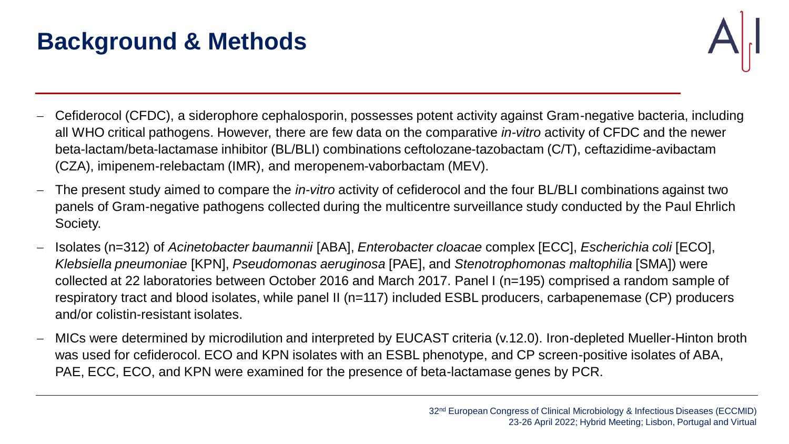# **Background & Methods**



- − Cefiderocol (CFDC), a siderophore cephalosporin, possesses potent activity against Gram-negative bacteria, including all WHO critical pathogens. However, there are few data on the comparative *in-vitro* activity of CFDC and the newer beta-lactam/beta-lactamase inhibitor (BL/BLI) combinations ceftolozane-tazobactam (C/T), ceftazidime-avibactam (CZA), imipenem-relebactam (IMR), and meropenem-vaborbactam (MEV).
- − The present study aimed to compare the *in-vitro* activity of cefiderocol and the four BL/BLI combinations against two panels of Gram-negative pathogens collected during the multicentre surveillance study conducted by the Paul Ehrlich Society.
- − Isolates (n=312) of *Acinetobacter baumannii* [ABA], *Enterobacter cloacae* complex [ECC], *Escherichia coli* [ECO], *Klebsiella pneumoniae* [KPN], *Pseudomonas aeruginosa* [PAE], and *Stenotrophomonas maltophilia* [SMA]) were collected at 22 laboratories between October 2016 and March 2017. Panel I (n=195) comprised a random sample of respiratory tract and blood isolates, while panel II (n=117) included ESBL producers, carbapenemase (CP) producers and/or colistin-resistant isolates.
- − MICs were determined by microdilution and interpreted by EUCAST criteria (v.12.0). Iron-depleted Mueller-Hinton broth was used for cefiderocol. ECO and KPN isolates with an ESBL phenotype, and CP screen-positive isolates of ABA, PAE, ECC, ECO, and KPN were examined for the presence of beta-lactamase genes by PCR.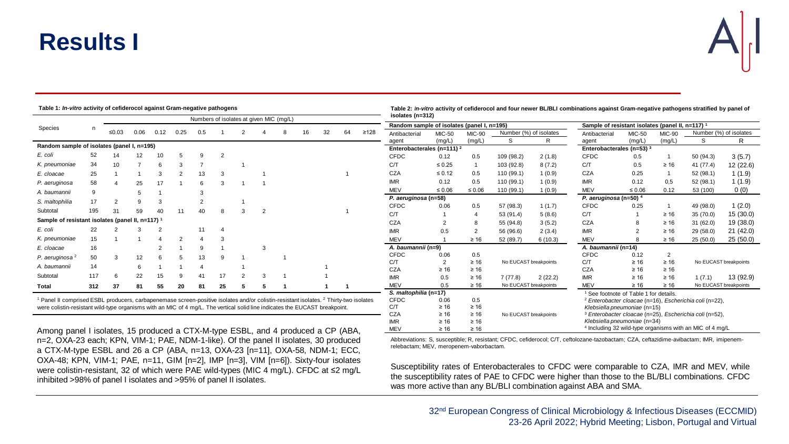## **Results I**



| Table 1: In-vitro activity of cefiderocol against Gram-negative pathogens |                                                                                                                                                                                                                                                                                            |                                         |      |      |      |    |    |            |   |                                       |           |                       |            | Table 2: In-vitro activity of cefiderocol and four newer BL/BLI combinations against Gram-negative pathogens stratified by panel of<br>isolates (n=312) |                                                                                                           |                                                                                   |                                      |                       |                        |                                   |               |               |                        |                       |
|---------------------------------------------------------------------------|--------------------------------------------------------------------------------------------------------------------------------------------------------------------------------------------------------------------------------------------------------------------------------------------|-----------------------------------------|------|------|------|----|----|------------|---|---------------------------------------|-----------|-----------------------|------------|---------------------------------------------------------------------------------------------------------------------------------------------------------|-----------------------------------------------------------------------------------------------------------|-----------------------------------------------------------------------------------|--------------------------------------|-----------------------|------------------------|-----------------------------------|---------------|---------------|------------------------|-----------------------|
| Species                                                                   |                                                                                                                                                                                                                                                                                            | Numbers of isolates at given MIC (mg/L) |      |      |      |    |    |            |   |                                       |           |                       |            |                                                                                                                                                         | Random sample of isolates (panel I, n=195)<br>Sample of resistant isolates (panel II, n=117) <sup>1</sup> |                                                                                   |                                      |                       |                        |                                   |               |               |                        |                       |
|                                                                           |                                                                                                                                                                                                                                                                                            | ≤0.03                                   | 0.06 | 0.12 | 0.25 |    |    |            |   |                                       |           | 32                    | 64         | ≥128                                                                                                                                                    | Antibacterial                                                                                             |                                                                                   | <b>MIC-50</b><br><b>MIC-90</b>       |                       | Number (%) of isolates |                                   | <b>MIC-50</b> | <b>MIC-90</b> | Number (%) of isolates |                       |
|                                                                           |                                                                                                                                                                                                                                                                                            |                                         |      |      |      |    |    |            |   |                                       |           |                       |            |                                                                                                                                                         | agent                                                                                                     | (mg/L)                                                                            | (mg/L)                               | -S                    | R                      | Antibacterial<br>agent            | (mg/L)        | (mg/L)        | S.                     | R.                    |
| Random sample of isolates (panel I, n=195)                                |                                                                                                                                                                                                                                                                                            |                                         |      |      |      |    |    |            |   | Enterobacterales (n=111) <sup>2</sup> |           |                       |            |                                                                                                                                                         | Enterobacterales (n=53) <sup>3</sup>                                                                      |                                                                                   |                                      |                       |                        |                                   |               |               |                        |                       |
| E. coli                                                                   | 52                                                                                                                                                                                                                                                                                         |                                         |      |      |      |    |    |            |   |                                       |           |                       |            |                                                                                                                                                         | <b>CFDC</b>                                                                                               | 0.12                                                                              | 0.5                                  | 109 (98.2)            | 2(1.8)                 | <b>CFDC</b>                       | 0.5           |               | 50 (94.3)              | 3(5.7)                |
| K. pneumoniae                                                             | 34                                                                                                                                                                                                                                                                                         | 10                                      |      |      |      |    |    |            |   |                                       |           |                       |            |                                                                                                                                                         | C/T                                                                                                       | $\leq 0.25$                                                                       |                                      | 103 (92.8)            | 8(7.2)                 | C/T                               | 0.5           | $\geq 16$     | 41 (77.4)              | 12 (22.6)             |
| E. cloacae                                                                | 25                                                                                                                                                                                                                                                                                         |                                         |      |      |      | 13 |    |            |   |                                       |           |                       |            |                                                                                                                                                         | <b>CZA</b>                                                                                                | $\leq 0.12$                                                                       | 0.5                                  | 110 (99.1)            | 1(0.9)                 | <b>CZA</b>                        | 0.25          |               | 52 (98.1)              | 1(1.9)                |
| P. aeruginosa                                                             | 58                                                                                                                                                                                                                                                                                         |                                         | 25   |      |      |    |    |            |   |                                       |           |                       |            |                                                                                                                                                         | <b>IMR</b>                                                                                                | 0.12                                                                              | 0.5                                  | 110 (99.1)            | 1(0.9)                 | <b>IMR</b>                        | 0.12          | 0,5           | 52 (98.1)              | 1(1.9)                |
| A. baumannii                                                              |                                                                                                                                                                                                                                                                                            |                                         |      |      |      |    |    |            |   |                                       |           |                       |            |                                                                                                                                                         | <b>MEV</b>                                                                                                | $\leq 0.06$                                                                       | $\leq 0.06$                          | 110 (99.1)            | 1(0.9)                 | <b>MEV</b>                        | $\leq 0.06$   | 0.12          | 53 (100)               | 0(0)                  |
| S. maltophilia                                                            | 17                                                                                                                                                                                                                                                                                         |                                         |      |      |      |    |    |            |   |                                       |           |                       |            |                                                                                                                                                         | P. aeruginosa (n=58)                                                                                      |                                                                                   |                                      |                       |                        | P. aeruginosa (n=50) <sup>4</sup> |               |               |                        |                       |
|                                                                           |                                                                                                                                                                                                                                                                                            |                                         |      |      |      |    |    |            |   |                                       |           |                       |            |                                                                                                                                                         | <b>CFDC</b>                                                                                               | 0.06                                                                              | 0.5                                  | 57 (98.3)             | 1(1.7)                 | <b>CFDC</b>                       | 0.25          |               | 49 (98.0)              | 1(2.0)                |
| Subtotal                                                                  | 195                                                                                                                                                                                                                                                                                        | 31                                      | 59   | 40   | 11   | 40 |    |            |   |                                       |           |                       |            |                                                                                                                                                         | C/T                                                                                                       |                                                                                   |                                      | 53 (91.4)             | 5(8.6)                 | C/T                               |               | $\geq 16$     | 35 (70.0)              | 15 (30.0)             |
| Sample of resistant isolates (panel II, n=117) <sup>1</sup>               |                                                                                                                                                                                                                                                                                            |                                         |      |      |      |    |    | <b>CZA</b> |   |                                       | 55 (94.8) | 3(5.2)                | <b>CZA</b> |                                                                                                                                                         | $\geq 16$                                                                                                 | 31(62.0)                                                                          | 19 (38.0)                            |                       |                        |                                   |               |               |                        |                       |
| E. coli                                                                   | 22                                                                                                                                                                                                                                                                                         |                                         |      |      |      |    |    |            |   |                                       |           |                       |            |                                                                                                                                                         | <b>IMR</b>                                                                                                | 0.5                                                                               |                                      | 56 (96.6)             | 2(3.4)                 | <b>IMR</b>                        |               | $\geq 16$     | 29 (58.0)              | 21(42.0)              |
| K. pneumoniae                                                             | 15                                                                                                                                                                                                                                                                                         |                                         |      |      |      |    |    |            |   |                                       |           |                       |            |                                                                                                                                                         | <b>MEV</b>                                                                                                |                                                                                   | $\geq 16$                            | 52 (89.7)             | 6(10.3)                | <b>MEV</b>                        |               | $\geq 16$     | 25(50.0)               | 25(50.0)              |
| E. cloacae                                                                | 16                                                                                                                                                                                                                                                                                         |                                         |      |      |      |    |    |            |   |                                       |           |                       |            |                                                                                                                                                         | A. baumannii (n=9)                                                                                        |                                                                                   |                                      |                       |                        | A. baumannii (n=14)               |               |               |                        |                       |
| P. aeruginosa <sup>2</sup>                                                | 50                                                                                                                                                                                                                                                                                         |                                         | 12   |      |      |    |    |            |   |                                       |           |                       |            |                                                                                                                                                         | <b>CFDC</b>                                                                                               | 0.06                                                                              | 0.5                                  |                       |                        | <b>CFDC</b>                       | 0.12          | 2             |                        |                       |
| A. baumannii                                                              | 14                                                                                                                                                                                                                                                                                         |                                         |      |      |      |    |    |            |   |                                       |           |                       |            |                                                                                                                                                         | C/T                                                                                                       |                                                                                   | $\geq 16$                            | No EUCAST breakpoints |                        | C/T                               | $\geq 16$     | $\geq 16$     | No EUCAST breakpoints  |                       |
|                                                                           |                                                                                                                                                                                                                                                                                            |                                         |      |      |      |    |    |            |   |                                       |           |                       |            |                                                                                                                                                         | <b>CZA</b>                                                                                                | $\geq 16$                                                                         | $\geq 16$                            |                       |                        | <b>CZA</b>                        | $\geq 16$     | $\geq 16$     |                        |                       |
| Subtotal                                                                  | 117                                                                                                                                                                                                                                                                                        |                                         | 22   | 15   |      | 41 |    |            | 3 |                                       |           |                       |            |                                                                                                                                                         | <b>IMR</b>                                                                                                | 0.5                                                                               | $\geq 16$                            | 7 (77.8)              | 2(22.2)                | <b>IMR</b>                        | $\geq 16$     | $\geq 16$     | 1(7.1)                 | 13 (92.9)             |
| <b>Total</b>                                                              | 312                                                                                                                                                                                                                                                                                        | 37                                      | 81   | 55   | 20   | 81 | 25 |            |   |                                       |           |                       |            |                                                                                                                                                         | <b>MEV</b>                                                                                                | 0.5                                                                               | $\geq 16$                            | No EUCAST breakpoints |                        | <b>MEV</b>                        | $\geq 16$     | $\geq 16$     |                        | No EUCAST breakpoints |
|                                                                           |                                                                                                                                                                                                                                                                                            |                                         |      |      |      |    |    |            |   |                                       |           | S. maltophilia (n=17) |            |                                                                                                                                                         |                                                                                                           |                                                                                   | See footnote of Table 1 for details. |                       |                        |                                   |               |               |                        |                       |
|                                                                           | <sup>1</sup> Panel II comprised ESBL producers, carbapenemase screen-positive isolates and/or colistin-resistant isolates. <sup>2</sup> Thirty-two isolates<br>were colistin-resistant wild-type organisms with an MIC of 4 mg/L. The vertical solid line indicates the EUCAST breakpoint. |                                         |      |      |      |    |    |            |   |                                       |           |                       |            |                                                                                                                                                         | <b>CFDC</b>                                                                                               | 0.5<br>0.06<br><sup>2</sup> Enterobacter cloacae (n=16), Escherichia coli (n=22), |                                      |                       |                        |                                   |               |               |                        |                       |
|                                                                           |                                                                                                                                                                                                                                                                                            |                                         |      |      |      |    |    |            |   |                                       |           |                       |            |                                                                                                                                                         |                                                                                                           | C/T<br>$\geq 16$<br>$\geq 16$<br>Klebsiella pneumoniae (n=15)                     |                                      |                       |                        |                                   |               |               |                        |                       |

CZA ≥ 16 ≥ 16 IMR ≥ 16 ≥ 16 MEV ≥ 16 ≥ 16

Among panel I isolates, 15 produced a CTX-M-type ESBL, and 4 produced a CP (ABA, n=2, OXA-23 each; KPN, VIM-1; PAE, NDM-1-like). Of the panel II isolates, 30 produced a CTX-M-type ESBL and 26 a CP (ABA, n=13, OXA-23 [n=11], OXA-58, NDM-1; ECC, OXA-48; KPN, VIM-1; PAE, n=11, GIM [n=2], IMP [n=3], VIM [n=6]). Sixty-four isolates were colistin-resistant, 32 of which were PAE wild-types (MIC 4 mg/L). CFDC at ≤2 mg/L inhibited >98% of panel I isolates and >95% of panel II isolates.

Abbreviations: S, susceptible; R, resistant; CFDC, cefiderocol; C/T, ceftolozane-tazobactam; CZA, ceftazidime-avibactam; IMR, imipenemrelebactam; MEV, meropenem-vaborbactam.

No EUCAST breakpoints

Susceptibility rates of Enterobacterales to CFDC were comparable to CZA, IMR and MEV, while the susceptibility rates of PAE to CFDC were higher than those to the BL/BLI combinations. CFDC was more active than any BL/BLI combination against ABA and SMA.

<sup>3</sup> *Enterobacter cloacae* (n=25), *Escherichia coli* (n=52),

4 Including 32 wild-type organisms with an MIC of 4 mg/L

*Klebsiella pneumoniae* (n=34)